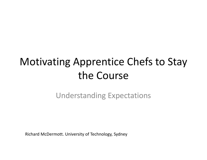## Motivating Apprentice Chefs to Stay the Course

### Understanding Expectations

Richard McDermott. University of Technology, Sydney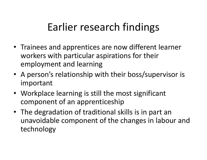# Earlier research findings

- Trainees and apprentices are now different learner workers with particular aspirations for their employment and learning
- A person's relationship with their boss/supervisor is important
- Workplace learning is still the most significant component of an apprenticeship
- The degradation of traditional skills is in part an unavoidable component of the changes in labour and technology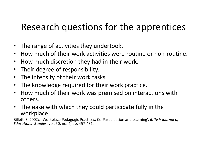## Research questions for the apprentices

- The range of activities they undertook.
- •How much of their work activities were routine or non-routine.
- $\bullet$ How much discretion they had in their work.
- •Their degree of responsibility.
- $\bullet$ The intensity of their work tasks.
- •The knowledge required for their work practice.
- • How much of their work was premised on interactions with others.
- The ease with which they could participate fully in the workplace.

Billett, S. 2002c, 'Workplace Pedagogic Practices: Co-Participation and Learning', British Journal of Educational Studies, vol. 50, no. 4, pp. 457-481.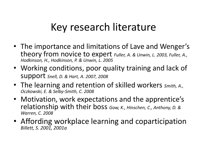## Key research literature

- The importance and limitations of Lave and Wenger'stheory from novice to expert *Fuller, A. & Unwin, L. 2003, Fuller, A.,* Hodkinson, H., Hodkinson, P. & Unwin, L. 2005
- Working conditions, poor quality training and lack of support Snell, D. & Hart, A. 2007, 2008
- The learning and retention of skilled workers smith, A., Oczkowski, E. & Selby-Smith, C. 2008
- Motivation, work expectations and the apprentice's relationship with their boss Gow, K., Hinschen, C., Anthony, D. & Warren, C. 2008
- Affording workplace learning and coparticipation Billett, S. 2001, 2001a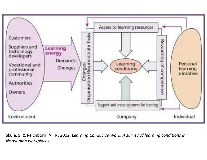

Skule, S. & Reichborn, A., N. 2002, Learning Conducive Work: A survey of learning conditions in Norwegian workplaces,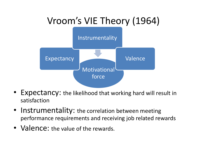

- Expectancy: the likelihood that working hard will result in satisfaction
- Instrumentality: the correlation between meeting performance requirements and receiving job related rewards
- Valence: the value of the rewards.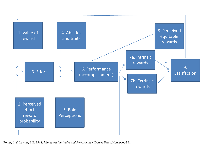

Porter, L. & Lawler, E.E. 1968, Managerial attitudes and Performance, Dorsey Press, Homewood Ill.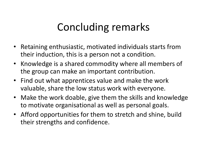# Concluding remarks

- Retaining enthusiastic, motivated individuals starts from their induction, this is a person not a condition.
- Knowledge is a shared commodity where all members of the group can make an important contribution.
- Find out what apprentices value and make the work valuable, share the low status work with everyone.
- Make the work doable, give them the skills and knowledge to motivate organisational as well as personal goals.
- Afford opportunities for them to stretch and shine, build their strengths and confidence.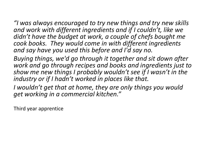"I was always encouraged to try new things and try new skills and work with different ingredients and if I couldn't, like we didn't have the budget at work, a couple of chefs bought me cook books. They would come in with different ingredients and say have you used this before and I'd say no.

Buying things, we'd go through it together and sit down after work and go through recipes and books and ingredients just to show me new things I probably wouldn't see if I wasn't in the industry or if I hadn't worked in places like that.

I wouldn't get that at home, they are only things you would get working in a commercial kitchen."

Third year apprentice